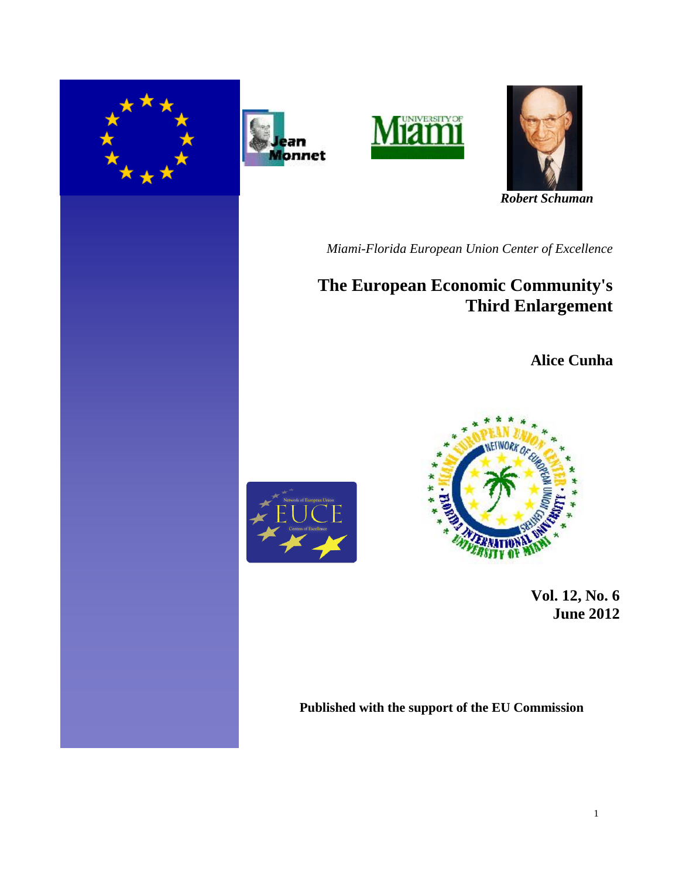







 *Robert Schuman* 

*Miami-Florida European Union Center of Excellence*

## **The European Economic Community's Third Enlargement**

**Alice Cunha**





 **Vol. 12, No. 6 June 2012**

**Published with the support of the EU Commission**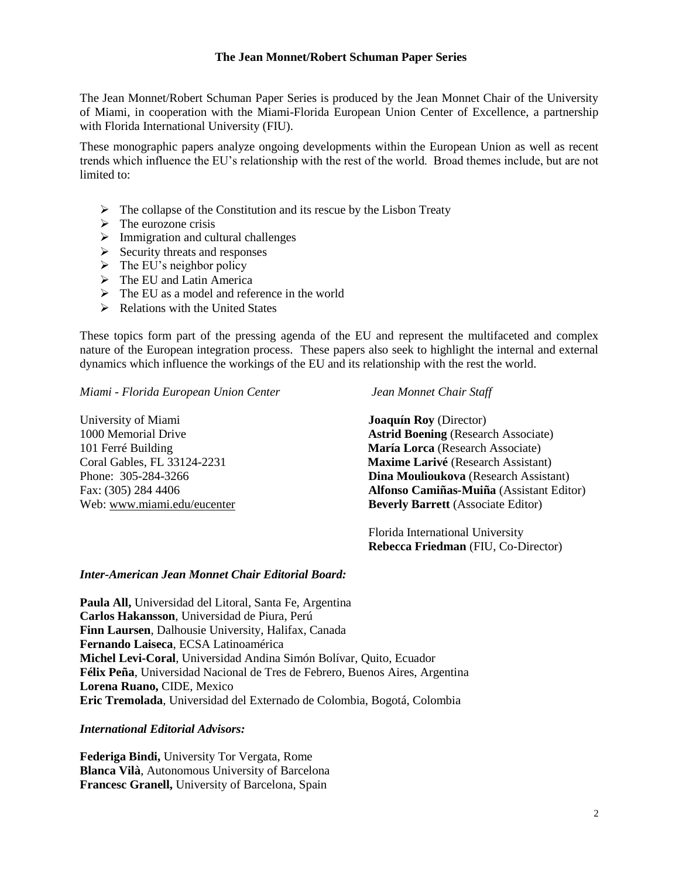## **The Jean Monnet/Robert Schuman Paper Series**

The Jean Monnet/Robert Schuman Paper Series is produced by the Jean Monnet Chair of the University of Miami, in cooperation with the Miami-Florida European Union Center of Excellence, a partnership with Florida International University (FIU).

These monographic papers analyze ongoing developments within the European Union as well as recent trends which influence the EU's relationship with the rest of the world. Broad themes include, but are not limited to:

- $\triangleright$  The collapse of the Constitution and its rescue by the Lisbon Treaty
- $\triangleright$  The eurozone crisis
- $\triangleright$  Immigration and cultural challenges
- $\triangleright$  Security threats and responses
- $\triangleright$  The EU's neighbor policy
- $\triangleright$  The EU and Latin America
- $\triangleright$  The EU as a model and reference in the world
- $\triangleright$  Relations with the United States

These topics form part of the pressing agenda of the EU and represent the multifaceted and complex nature of the European integration process. These papers also seek to highlight the internal and external dynamics which influence the workings of the EU and its relationship with the rest the world.

*Miami - Florida European Union Center Jean Monnet Chair Staff*

University of Miami **Joaquín Roy** (Director)

1000 Memorial Drive **Astrid Boening** (Research Associate) 101 Ferré Building **María Lorca** (Research Associate) Coral Gables, FL 33124-2231 **Maxime Larivé** (Research Assistant) Phone: 305-284-3266 **Dina Moulioukova** (Research Assistant) Fax: (305) 284 4406 **Alfonso Camiñas-Muiña** (Assistant Editor) Web: [www.miami.edu/eucenter](http://www.miami.edu/eucenter) **Beverly Barrett** (Associate Editor)

> Florida International University  **Rebecca Friedman** (FIU, Co-Director)

## *Inter-American Jean Monnet Chair Editorial Board:*

**Paula All,** Universidad del Litoral, Santa Fe, Argentina **Carlos Hakansson**, Universidad de Piura, Perú **Finn Laursen**, Dalhousie University, Halifax, Canada **Fernando Laiseca**, ECSA Latinoamérica **Michel Levi-Coral**, Universidad Andina Simón Bolívar, Quito, Ecuador **Félix Peña**, Universidad Nacional de Tres de Febrero, Buenos Aires, Argentina **Lorena Ruano,** CIDE, Mexico **Eric Tremolada**, Universidad del Externado de Colombia, Bogotá, Colombia

*International Editorial Advisors:*

**Federiga Bindi,** University Tor Vergata, Rome **Blanca Vilà**, Autonomous University of Barcelona **Francesc Granell,** University of Barcelona, Spain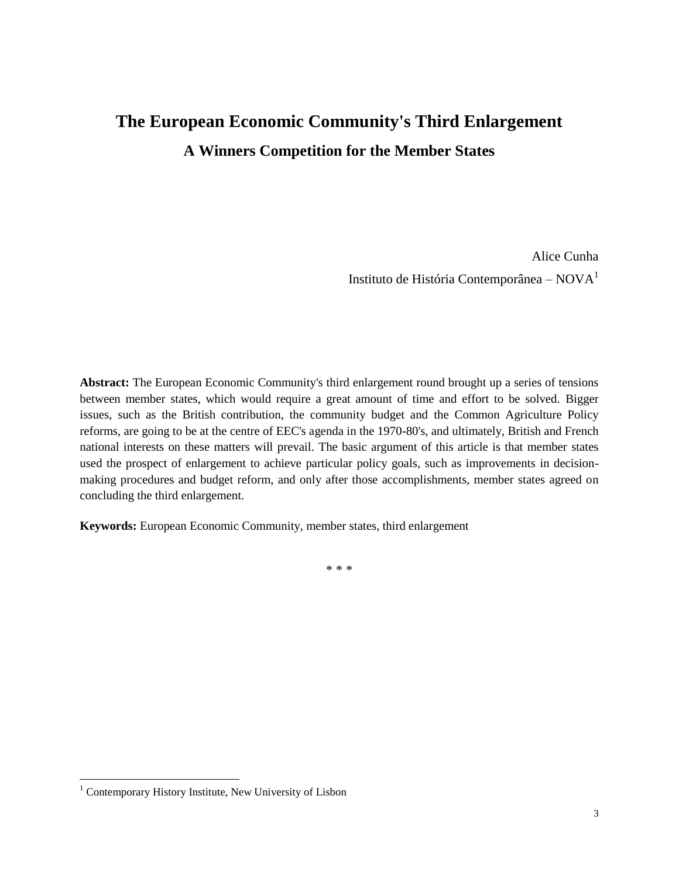# **The European Economic Community's Third Enlargement A Winners Competition for the Member States**

Alice Cunha Instituto de História Contemporânea – NOVA<sup>1</sup>

**Abstract:** The European Economic Community's third enlargement round brought up a series of tensions between member states, which would require a great amount of time and effort to be solved. Bigger issues, such as the British contribution, the community budget and the Common Agriculture Policy reforms, are going to be at the centre of EEC's agenda in the 1970-80's, and ultimately, British and French national interests on these matters will prevail. The basic argument of this article is that member states used the prospect of enlargement to achieve particular policy goals, such as improvements in decisionmaking procedures and budget reform, and only after those accomplishments, member states agreed on concluding the third enlargement.

**Keywords:** European Economic Community, member states, third enlargement

\* \* \*

<sup>&</sup>lt;sup>1</sup> Contemporary History Institute, New University of Lisbon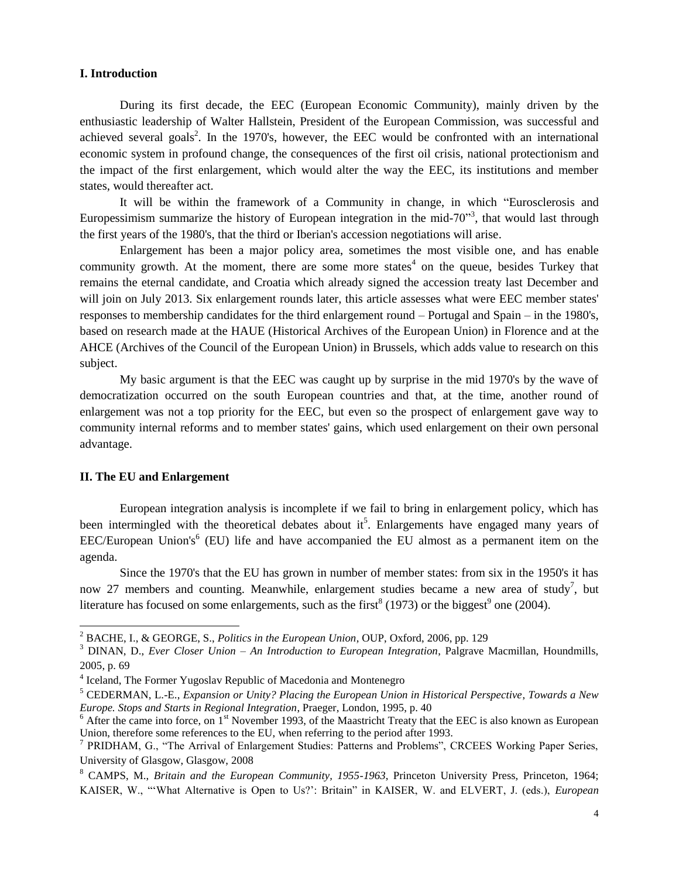## **I. Introduction**

During its first decade, the EEC (European Economic Community), mainly driven by the enthusiastic leadership of Walter Hallstein, President of the European Commission, was successful and achieved several goals<sup>2</sup>. In the 1970's, however, the EEC would be confronted with an international economic system in profound change, the consequences of the first oil crisis, national protectionism and the impact of the first enlargement, which would alter the way the EEC, its institutions and member states, would thereafter act.

It will be within the framework of a Community in change, in which "Eurosclerosis and Europessimism summarize the history of European integration in the mid-70 $\degree$ <sup>3</sup>, that would last through the first years of the 1980's, that the third or Iberian's accession negotiations will arise.

Enlargement has been a major policy area, sometimes the most visible one, and has enable community growth. At the moment, there are some more states<sup>4</sup> on the queue, besides Turkey that remains the eternal candidate, and Croatia which already signed the accession treaty last December and will join on July 2013. Six enlargement rounds later, this article assesses what were EEC member states' responses to membership candidates for the third enlargement round – Portugal and Spain – in the 1980's, based on research made at the HAUE (Historical Archives of the European Union) in Florence and at the AHCE (Archives of the Council of the European Union) in Brussels, which adds value to research on this subject.

My basic argument is that the EEC was caught up by surprise in the mid 1970's by the wave of democratization occurred on the south European countries and that, at the time, another round of enlargement was not a top priority for the EEC, but even so the prospect of enlargement gave way to community internal reforms and to member states' gains, which used enlargement on their own personal advantage.

## **II. The EU and Enlargement**

 $\overline{a}$ 

European integration analysis is incomplete if we fail to bring in enlargement policy, which has been intermingled with the theoretical debates about it<sup>5</sup>. Enlargements have engaged many years of  $EEC/Eu$ ropean Union's<sup>6</sup> (EU) life and have accompanied the EU almost as a permanent item on the agenda.

Since the 1970's that the EU has grown in number of member states: from six in the 1950's it has now 27 members and counting. Meanwhile, enlargement studies became a new area of study<sup>7</sup>, but literature has focused on some enlargements, such as the first<sup>8</sup> (1973) or the biggest<sup>9</sup> one (2004).

<sup>2</sup> BACHE, I., & GEORGE, S., *Politics in the European Union*, OUP, Oxford, 2006, pp. 129

<sup>3</sup> DINAN, D., *Ever Closer Union – An Introduction to European Integration*, Palgrave Macmillan, Houndmills, 2005, p. 69

<sup>&</sup>lt;sup>4</sup> [Iceland,](http://www.eib.org/projects/regions/enlargement/iceland/index.htm#Iceland) The Former Yugoslav Republic of Macedonia and [Montenegro](http://www.eib.org/projects/regions/enlargement/montenegro/index.htm)

<sup>5</sup> CEDERMAN, L.-E., *Expansion or Unity? Placing the European Union in Historical Perspective*, *Towards a New Europe. Stops and Starts in Regional Integration*, Praeger, London, 1995, p. 40

 $6$  After the came into force, on  $1<sup>st</sup>$  November 1993, of the Maastricht Treaty that the EEC is also known as European Union, therefore some references to the EU, when referring to the period after 1993.

<sup>&</sup>lt;sup>7</sup> PRIDHAM, G., "The Arrival of Enlargement Studies: Patterns and Problems", CRCEES Working Paper Series, University of Glasgow, Glasgow, 2008

<sup>8</sup> CAMPS, M., *Britain and the European Community, 1955-1963*, Princeton University Press, Princeton, 1964; KAISER, W., "ʻWhat Alternative is Open to Us?': Britain" in KAISER, W. and ELVERT, J. (eds.), *European*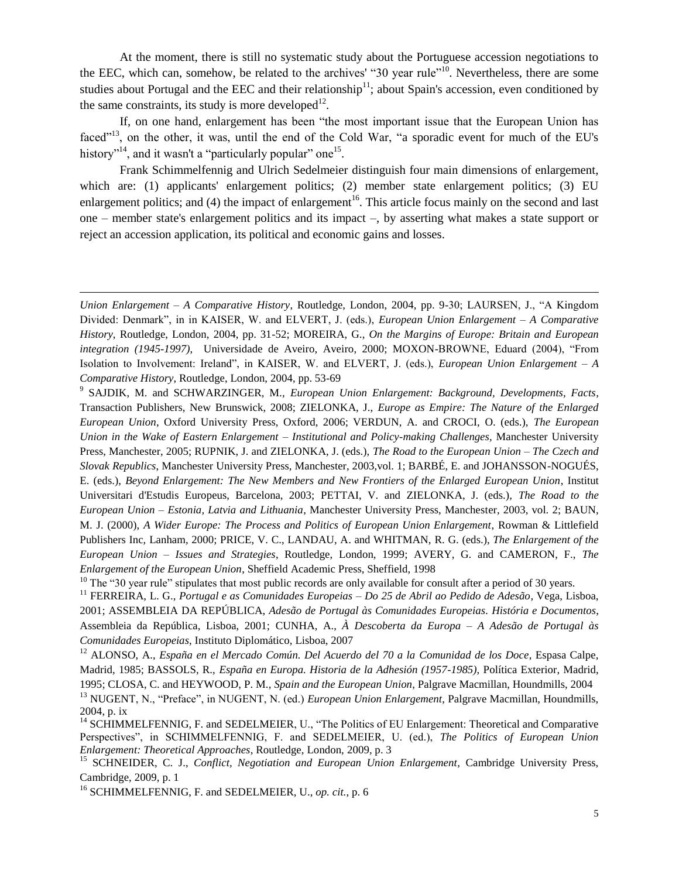At the moment, there is still no systematic study about the Portuguese accession negotiations to the EEC, which can, somehow, be related to the archives' "30 year rule"<sup>10</sup>. Nevertheless, there are some studies about Portugal and the EEC and their relationship<sup>11</sup>; about Spain's accession, even conditioned by the same constraints, its study is more developed<sup>12</sup>.

If, on one hand, enlargement has been "the most important issue that the European Union has faced<sup>"13</sup>, on the other, it was, until the end of the Cold War, "a sporadic event for much of the EU's history"<sup>14</sup>, and it wasn't a "particularly popular" one<sup>15</sup>.

Frank Schimmelfennig and Ulrich [Sedelmeier](http://www.allbookstores.com/Ulrich-Sedelmeier/author) distinguish four main dimensions of enlargement, which are: (1) applicants' enlargement politics; (2) member state enlargement politics; (3) EU enlargement politics; and (4) the impact of enlargement<sup>16</sup>. This article focus mainly on the second and last one – member state's enlargement politics and its impact –, by asserting what makes a state support or reject an accession application, its political and economic gains and losses.

9 SAJDIK, M. and SCHWARZINGER, M., *European Union Enlargement: Background, Developments, Facts*, Transaction Publishers, New Brunswick, 2008; ZIELONKA, J., *[Europe as Empire: The Nature of the Enlarged](http://www.allbookstores.com/Europe-Empire-The-Nature-Enlarged/9780199292219)  [European Union](http://www.allbookstores.com/Europe-Empire-The-Nature-Enlarged/9780199292219)*, Oxford University Press, Oxford, 2006; VERDUN, A. and CROCI, O. (eds.), *The European Union in the Wake of Eastern Enlargement – Institutional and Policy-making Challenges*, Manchester University Press, Manchester, 2005; RUPNIK, J. and ZIELONKA, J. (eds.), *The Road to the European Union – The Czech and Slovak Republics*, Manchester University Press, Manchester, 2003,vol. 1; BARBÉ, E. and JOHANSSON-NOGUÉS, E. (eds.), *Beyond Enlargement: The New Members and New Frontiers of the Enlarged European Union*, Institut Universitari d'Estudis Europeus, Barcelona, 2003; PETTAI, V. and ZIELONKA, J. (eds.), *The Road to the European Union – Estonia, Latvia and Lithuania*, Manchester University Press, Manchester, 2003, vol. 2; BAUN, M. J. (2000), *A Wider Europe: The Process and Politics of European Union Enlargement*, Rowman & Littlefield Publishers Inc, Lanham, 2000; PRICE, V. C., LANDAU, A. and WHITMAN, R. G. (eds.), *The Enlargement of the European Union – Issues and Strategies*, Routledge, London, 1999; AVERY, G. and CAMERON, F., *The Enlargement of the European Union*, Sheffield Academic Press, Sheffield, 1998

 $10$  The "30 year rule" stipulates that most public records are only available for consult after a period of 30 years.

<sup>11</sup> FERREIRA, L. G., *Portugal e as Comunidades Europeias – Do 25 de Abril ao Pedido de Adesão*, Vega, Lisboa, 2001; ASSEMBLEIA DA REPÚBLICA, *Adesão de Portugal às Comunidades Europeias. História e Documentos*, Assembleia da República, Lisboa, 2001; CUNHA, A., *À Descoberta da Europa – A Adesão de Portugal às Comunidades Europeias*, Instituto Diplomático, Lisboa, 2007

<sup>12</sup> ALONSO, A., *España en el Mercado Común. Del Acuerdo del 70 a la Comunidad de los Doce*, Espasa Calpe, Madrid, 1985; BASSOLS, R., *España en Europa. Historia de la Adhesión (1957-1985)*, Política Exterior, Madrid, 1995; CLOSA, C. and HEYWOOD, P. M., *Spain and the European Union*, Palgrave Macmillan, Houndmills, 2004

<sup>16</sup> SCHIMMELFENNIG, F. and [SEDELMEIER,](http://www.allbookstores.com/Ulrich-Sedelmeier/author) U., *op. cit.*, p. 6

 $\overline{a}$ 

*Union Enlargement – A Comparative History*, Routledge, London, 2004, pp. 9-30; LAURSEN, J., "A Kingdom Divided: Denmark", in in KAISER, W. and ELVERT, J. (eds.), *European Union Enlargement – A Comparative History*, Routledge, London, 2004, pp. 31-52; MOREIRA, G., *On the Margins of Europe: Britain and European integration (1945-1997)*, Universidade de Aveiro, Aveiro, 2000; MOXON-BROWNE, Eduard (2004), "From Isolation to Involvement: Ireland", in KAISER, W. and ELVERT, J. (eds.), *European Union Enlargement – A Comparative History*, Routledge, London, 2004, pp. 53-69

<sup>13</sup> NUGENT, N., "Preface", in NUGENT, N. (ed.) *European Union Enlargement*, Palgrave Macmillan, Houndmills, 2004, p. ix

<sup>&</sup>lt;sup>14</sup> SCHIMMELFENNIG, F. and [SEDELMEIER,](http://www.allbookstores.com/Ulrich-Sedelmeier/author) U., "The Politics of EU Enlargement: Theoretical and Comparative Perspectives", in SCHIMMELFENNIG, F. and SEDELMEIER, U. (ed.), *[The Politics of European Union](http://www.allbookstores.com/The-Politics-European-Union-Enlargement/0415498945)  [Enlargement: Theoretical Approaches](http://www.allbookstores.com/The-Politics-European-Union-Enlargement/0415498945)*, Routledge, London, 2009, p. 3

<sup>&</sup>lt;sup>15</sup> SCHNEIDER, C. J., *[Conflict, Negotiation and European Union Enlargement](http://www.allbookstores.com/Conflict-Negotiation-European-Union-Enlargement/9780521514811)*, Cambridge University Press, Cambridge, 2009, p. 1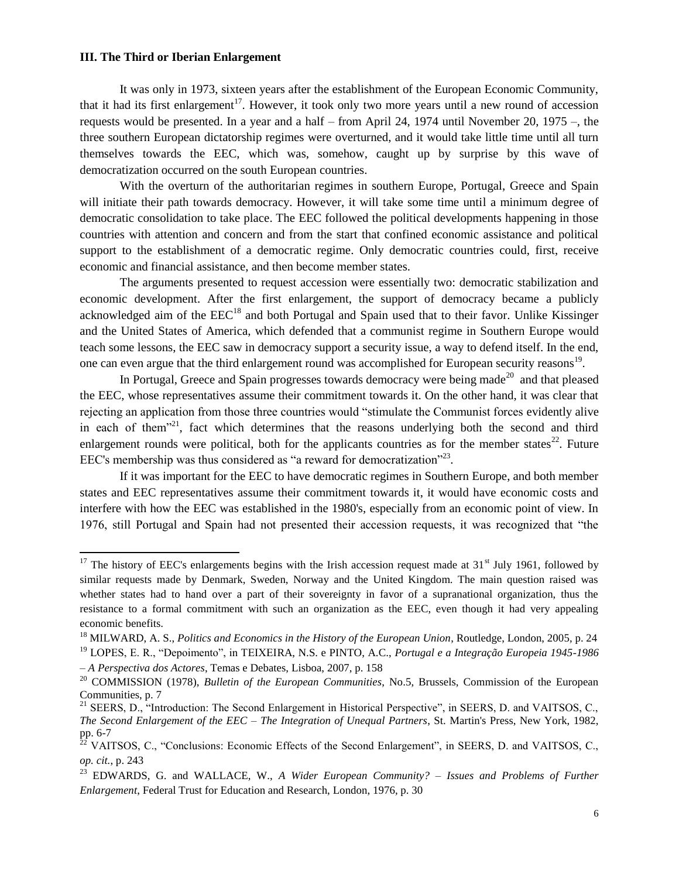#### **III. The Third or Iberian Enlargement**

It was only in 1973, sixteen years after the establishment of the European Economic Community, that it had its first enlargement<sup>17</sup>. However, it took only two more years until a new round of accession requests would be presented. In a year and a half – from April 24, 1974 until November 20, 1975 –, the three southern European dictatorship regimes were overturned, and it would take little time until all turn themselves towards the EEC, which was, somehow, caught up by surprise by this wave of democratization occurred on the south European countries.

With the overturn of the authoritarian regimes in southern Europe, Portugal, Greece and Spain will initiate their path towards democracy. However, it will take some time until a minimum degree of democratic consolidation to take place. The EEC followed the political developments happening in those countries with attention and concern and from the start that confined economic assistance and political support to the establishment of a democratic regime. Only democratic countries could, first, receive economic and financial assistance, and then become member states.

The arguments presented to request accession were essentially two: democratic stabilization and economic development. After the first enlargement, the support of democracy became a publicly acknowledged aim of the EEC<sup>18</sup> and both Portugal and Spain used that to their favor. Unlike Kissinger and the United States of America, which defended that a communist regime in Southern Europe would teach some lessons, the EEC saw in democracy support a security issue, a way to defend itself. In the end, one can even argue that the third enlargement round was accomplished for European security reasons<sup>19</sup>.

In Portugal, Greece and Spain progresses towards democracy were being made<sup>20</sup> and that pleased the EEC, whose representatives assume their commitment towards it. On the other hand, it was clear that rejecting an application from those three countries would "stimulate the Communist forces evidently alive in each of them<sup> $21$ </sup>, fact which determines that the reasons underlying both the second and third enlargement rounds were political, both for the applicants countries as for the member states<sup>22</sup>. Future EEC's membership was thus considered as "a reward for democratization"<sup>23</sup>.

If it was important for the EEC to have democratic regimes in Southern Europe, and both member states and EEC representatives assume their commitment towards it, it would have economic costs and interfere with how the EEC was established in the 1980's, especially from an economic point of view. In 1976, still Portugal and Spain had not presented their accession requests, it was recognized that "the

<sup>&</sup>lt;sup>17</sup> The history of EEC's enlargements begins with the Irish accession request made at  $31<sup>st</sup>$  July 1961, followed by similar requests made by Denmark, Sweden, Norway and the United Kingdom. The main question raised was whether states had to hand over a part of their sovereignty in favor of a supranational organization, thus the resistance to a formal commitment with such an organization as the EEC, even though it had very appealing economic benefits.

<sup>18</sup> MILWARD, A. S., *Politics and Economics in the History of the European Union*, Routledge, London, 2005, p. 24 <sup>19</sup> LOPES, E. R., "Depoimento", in TEIXEIRA, N.S. e PINTO, A.C., *Portugal e a Integração Europeia 1945-1986* 

*<sup>–</sup> A Perspectiva dos Actores*, Temas e Debates, Lisboa, 2007, p. 158

<sup>20</sup> COMMISSION (1978), *Bulletin of the European Communities*, No.5, Brussels, Commission of the European Communities, p. 7

<sup>&</sup>lt;sup>21</sup> SEERS, D., "Introduction: The Second Enlargement in Historical Perspective", in SEERS, D. and VAITSOS, C., *The Second Enlargement of the EEC – The Integration of Unequal Partners*, St. Martin's Press, New York, 1982, pp.  $6-7$ 

<sup>&</sup>lt;sup>2</sup> VAITSOS, C., "Conclusions: Economic Effects of the Second Enlargement", in SEERS, D. and VAITSOS, C., *op. cit.*, p. 243

<sup>23</sup> EDWARDS, G. and WALLACE, W., *A Wider European Community? – Issues and Problems of Further Enlargement*, Federal Trust for Education and Research, London, 1976, p. 30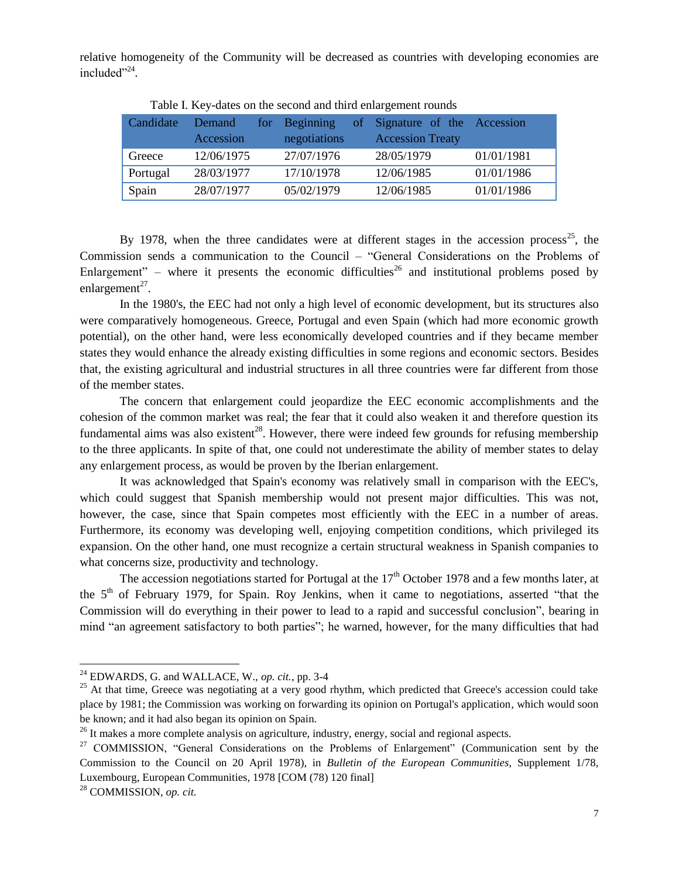relative homogeneity of the Community will be decreased as countries with developing economies are included"<sup>24</sup>.

| Candidate | Demand<br>Accession | for Beginning<br>negotiations | of Signature of the Accession<br><b>Accession Treaty</b> |            |
|-----------|---------------------|-------------------------------|----------------------------------------------------------|------------|
| Greece    | 12/06/1975          | 27/07/1976                    | 28/05/1979                                               | 01/01/1981 |
| Portugal  | 28/03/1977          | 17/10/1978                    | 12/06/1985                                               | 01/01/1986 |
| Spain     | 28/07/1977          | 05/02/1979                    | 12/06/1985                                               | 01/01/1986 |

Table I. Key-dates on the second and third enlargement rounds

By 1978, when the three candidates were at different stages in the accession process<sup>25</sup>, the Commission sends a communication to the Council – "General Considerations on the Problems of Enlargement" – where it presents the economic difficulties<sup>26</sup> and institutional problems posed by enlargement $^{27}$ .

In the 1980's, the EEC had not only a high level of economic development, but its structures also were comparatively homogeneous. Greece, Portugal and even Spain (which had more economic growth potential), on the other hand, were less economically developed countries and if they became member states they would enhance the already existing difficulties in some regions and economic sectors. Besides that, the existing agricultural and industrial structures in all three countries were far different from those of the member states.

The concern that enlargement could jeopardize the EEC economic accomplishments and the cohesion of the common market was real; the fear that it could also weaken it and therefore question its fundamental aims was also existent<sup>28</sup>. However, there were indeed few grounds for refusing membership to the three applicants. In spite of that, one could not underestimate the ability of member states to delay any enlargement process, as would be proven by the Iberian enlargement.

It was acknowledged that Spain's economy was relatively small in comparison with the EEC's, which could suggest that Spanish membership would not present major difficulties. This was not, however, the case, since that Spain competes most efficiently with the EEC in a number of areas. Furthermore, its economy was developing well, enjoying competition conditions, which privileged its expansion. On the other hand, one must recognize a certain structural weakness in Spanish companies to what concerns size, productivity and technology.

The accession negotiations started for Portugal at the  $17<sup>th</sup>$  October 1978 and a few months later, at the  $5<sup>th</sup>$  of February 1979, for Spain. Roy Jenkins, when it came to negotiations, asserted "that the Commission will do everything in their power to lead to a rapid and successful conclusion", bearing in mind "an agreement satisfactory to both parties"; he warned, however, for the many difficulties that had

 $\overline{a}$ 

 $^{24}$  EDWARDS, G. and WALLACE, W., *op. cit.*, pp. 3-4

<sup>&</sup>lt;sup>25</sup> At that time, Greece was negotiating at a very good rhythm, which predicted that Greece's accession could take place by 1981; the Commission was working on forwarding its opinion on Portugal's application, which would soon be known; and it had also began its opinion on Spain.

 $^{26}$  It makes a more complete analysis on agriculture, industry, energy, social and regional aspects.

<sup>&</sup>lt;sup>27</sup> COMMISSION, "General Considerations on the Problems of Enlargement" (Communication sent by the Commission to the Council on 20 April 1978), in *Bulletin of the European Communities*, Supplement 1/78, Luxembourg, European Communities, 1978 [COM (78) 120 final]

<sup>28</sup> COMMISSION, *op. cit.*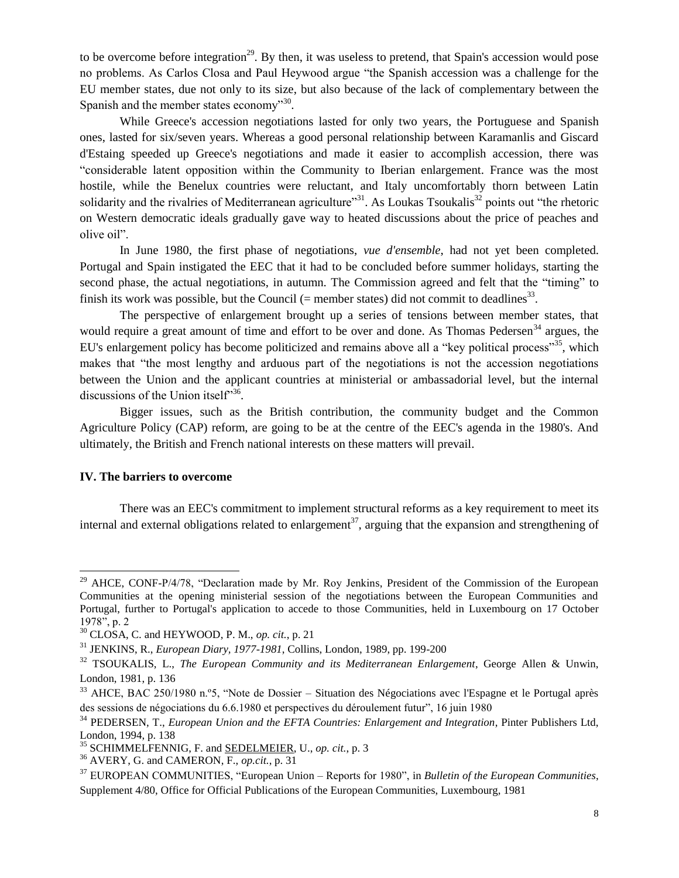to be overcome before integration<sup>29</sup>. By then, it was useless to pretend, that Spain's accession would pose no problems. As Carlos Closa and Paul Heywood argue "the Spanish accession was a challenge for the EU member states, due not only to its size, but also because of the lack of complementary between the Spanish and the member states economy"<sup>30</sup>.

While Greece's accession negotiations lasted for only two years, the Portuguese and Spanish ones, lasted for six/seven years. Whereas a good personal relationship between Karamanlis and Giscard d'Estaing speeded up Greece's negotiations and made it easier to accomplish accession, there was "considerable latent opposition within the Community to Iberian enlargement. France was the most hostile, while the Benelux countries were reluctant, and Italy uncomfortably thorn between Latin solidarity and the rivalries of Mediterranean agriculture"<sup>31</sup>. As Loukas Tsoukalis<sup>32</sup> points out "the rhetoric on Western democratic ideals gradually gave way to heated discussions about the price of peaches and olive oil".

In June 1980, the first phase of negotiations, *vue d'ensemble*, had not yet been completed. Portugal and Spain instigated the EEC that it had to be concluded before summer holidays, starting the second phase, the actual negotiations, in autumn. The Commission agreed and felt that the "timing" to finish its work was possible, but the Council (= member states) did not commit to deadlines<sup>33</sup>.

The perspective of enlargement brought up a series of tensions between member states, that would require a great amount of time and effort to be over and done. As Thomas Pedersen<sup>34</sup> argues, the EU's enlargement policy has become politicized and remains above all a "key political process"<sup>35</sup>, which makes that "the most lengthy and arduous part of the negotiations is not the accession negotiations between the Union and the applicant countries at ministerial or ambassadorial level, but the internal discussions of the Union itself<sup>356</sup>.

Bigger issues, such as the British contribution, the community budget and the Common Agriculture Policy (CAP) reform, are going to be at the centre of the EEC's agenda in the 1980's. And ultimately, the British and French national interests on these matters will prevail.

#### **IV. The barriers to overcome**

l

There was an EEC's commitment to implement structural reforms as a key requirement to meet its internal and external obligations related to enlargement<sup>37</sup>, arguing that the expansion and strengthening of

<sup>&</sup>lt;sup>29</sup> AHCE, CONF-P/4/78, "Declaration made by Mr. Roy Jenkins, President of the Commission of the European Communities at the opening ministerial session of the negotiations between the European Communities and Portugal, further to Portugal's application to accede to those Communities, held in Luxembourg on 17 October 1978", p. 2

<sup>30</sup> CLOSA, C. and HEYWOOD, P. M., *op. cit.*, p. 21

<sup>31</sup> JENKINS, R., *European Diary, 1977-1981*, Collins, London, 1989, pp. 199-200

<sup>32</sup> TSOUKALIS, L., *The European Community and its Mediterranean Enlargement*, George Allen & Unwin, London, 1981, p. 136

<sup>33</sup> AHCE, BAC 250/1980 n.º5, "Note de Dossier – Situation des Négociations avec l'Espagne et le Portugal après des sessions de négociations du 6.6.1980 et perspectives du déroulement futur", 16 juin 1980

<sup>34</sup> PEDERSEN, T., *European Union and the EFTA Countries: Enlargement and Integration*, Pinter Publishers Ltd, London, 1994, p. 138

<sup>35</sup> SCHIMMELFENNIG, F. and [SEDELMEIER,](http://www.allbookstores.com/Ulrich-Sedelmeier/author) U., *op. cit.*, p. 3

<sup>36</sup> AVERY, G. and CAMERON, F., *op.cit.*, p. 31

<sup>37</sup> EUROPEAN COMMUNITIES, "European Union – Reports for 1980", in *Bulletin of the European Communities*, Supplement 4/80, Office for Official Publications of the European Communities, Luxembourg, 1981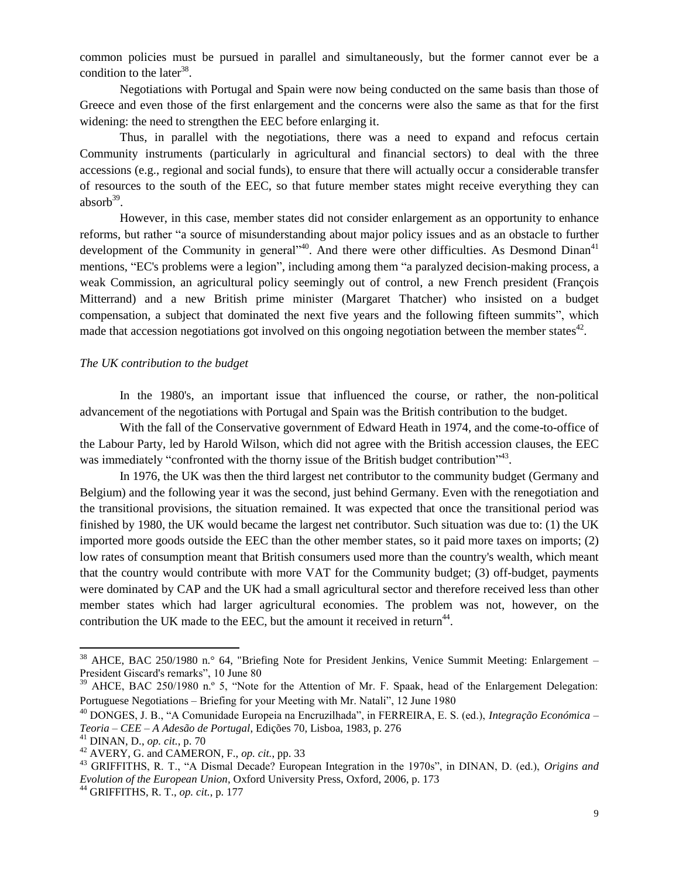common policies must be pursued in parallel and simultaneously, but the former cannot ever be a condition to the later<sup>38</sup>.

Negotiations with Portugal and Spain were now being conducted on the same basis than those of Greece and even those of the first enlargement and the concerns were also the same as that for the first widening: the need to strengthen the EEC before enlarging it.

Thus, in parallel with the negotiations, there was a need to expand and refocus certain Community instruments (particularly in agricultural and financial sectors) to deal with the three accessions (e.g., regional and social funds), to ensure that there will actually occur a considerable transfer of resources to the south of the EEC, so that future member states might receive everything they can absorb $39$ .

However, in this case, member states did not consider enlargement as an opportunity to enhance reforms, but rather "a source of misunderstanding about major policy issues and as an obstacle to further development of the Community in general"<sup>40</sup>. And there were other difficulties. As Desmond Dinan<sup>41</sup> mentions, "EC's problems were a legion", including among them "a paralyzed decision-making process, a weak Commission, an agricultural policy seemingly out of control, a new French president (François Mitterrand) and a new British prime minister (Margaret Thatcher) who insisted on a budget compensation, a subject that dominated the next five years and the following fifteen summits", which made that accession negotiations got involved on this ongoing negotiation between the member states $42$ .

## *The UK contribution to the budget*

In the 1980's, an important issue that influenced the course, or rather, the non-political advancement of the negotiations with Portugal and Spain was the British contribution to the budget.

With the fall of the Conservative government of Edward Heath in 1974, and the come-to-office of the Labour Party, led by Harold Wilson, which did not agree with the British accession clauses, the EEC was immediately "confronted with the thorny issue of the British budget contribution"<sup>43</sup>.

In 1976, the UK was then the third largest net contributor to the community budget (Germany and Belgium) and the following year it was the second, just behind Germany. Even with the renegotiation and the transitional provisions, the situation remained. It was expected that once the transitional period was finished by 1980, the UK would became the largest net contributor. Such situation was due to: (1) the UK imported more goods outside the EEC than the other member states, so it paid more taxes on imports; (2) low rates of consumption meant that British consumers used more than the country's wealth, which meant that the country would contribute with more VAT for the Community budget; (3) off-budget, payments were dominated by CAP and the UK had a small agricultural sector and therefore received less than other member states which had larger agricultural economies. The problem was not, however, on the contribution the UK made to the EEC, but the amount it received in return<sup>44</sup>.

 $38$  AHCE, BAC 250/1980 n. $\degree$  64, "Briefing Note for President Jenkins, Venice Summit Meeting: Enlargement – President Giscard's remarks", 10 June 80

<sup>&</sup>lt;sup>39</sup> AHCE, BAC 250/1980 n.º 5, "Note for the Attention of Mr. F. Spaak, head of the Enlargement Delegation: Portuguese Negotiations – Briefing for your Meeting with Mr. Natali", 12 June 1980

<sup>40</sup> DONGES, J. B., "A Comunidade Europeia na Encruzilhada", in FERREIRA, E. S. (ed.), *Integração Económica – Teoria – CEE – A Adesão de Portugal*, Edições 70, Lisboa, 1983, p. 276

<sup>41</sup> DINAN, D., *op. cit.*, p. 70

<sup>42</sup> AVERY, G. and CAMERON, F., *op. cit.*, pp. 33

<sup>43</sup> GRIFFITHS, R. T., "A Dismal Decade? European Integration in the 1970s", in DINAN, D. (ed.), *Origins and Evolution of the European Union*, Oxford University Press, Oxford, 2006, p. 173

<sup>44</sup> GRIFFITHS, R. T., *op. cit.*, p. 177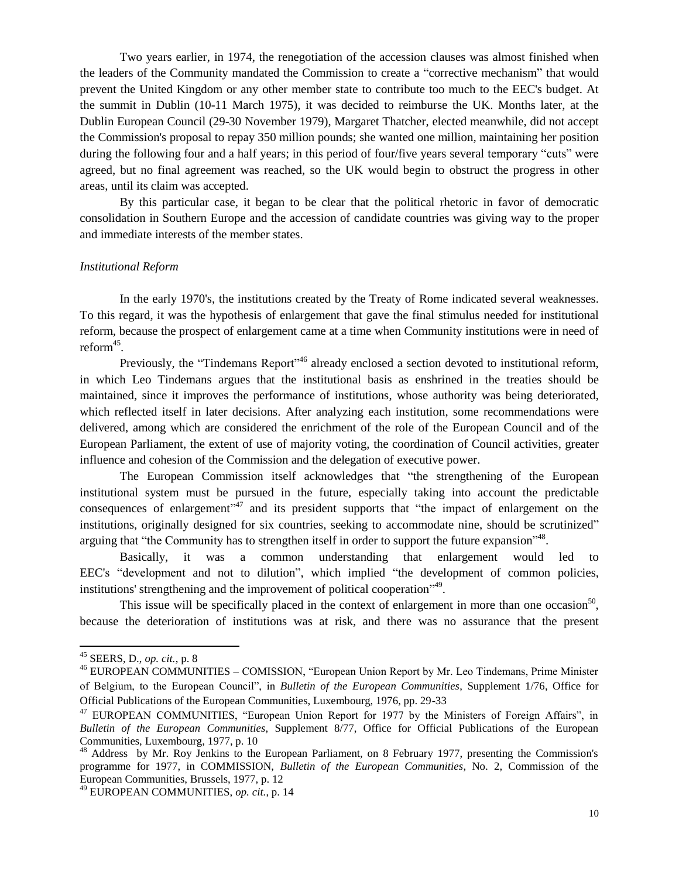Two years earlier, in 1974, the renegotiation of the accession clauses was almost finished when the leaders of the Community mandated the Commission to create a "corrective mechanism" that would prevent the United Kingdom or any other member state to contribute too much to the EEC's budget. At the summit in Dublin (10-11 March 1975), it was decided to reimburse the UK. Months later, at the Dublin European Council (29-30 November 1979), Margaret Thatcher, elected meanwhile, did not accept the Commission's proposal to repay 350 million pounds; she wanted one million, maintaining her position during the following four and a half years; in this period of four/five years several temporary "cuts" were agreed, but no final agreement was reached, so the UK would begin to obstruct the progress in other areas, until its claim was accepted.

By this particular case, it began to be clear that the political rhetoric in favor of democratic consolidation in Southern Europe and the accession of candidate countries was giving way to the proper and immediate interests of the member states.

#### *Institutional Reform*

In the early 1970's, the institutions created by the Treaty of Rome indicated several weaknesses. To this regard, it was the hypothesis of enlargement that gave the final stimulus needed for institutional reform, because the prospect of enlargement came at a time when Community institutions were in need of reform<sup>45</sup>.

Previously, the "Tindemans Report"<sup>46</sup> already enclosed a section devoted to institutional reform, in which Leo Tindemans argues that the institutional basis as enshrined in the treaties should be maintained, since it improves the performance of institutions, whose authority was being deteriorated, which reflected itself in later decisions. After analyzing each institution, some recommendations were delivered, among which are considered the enrichment of the role of the European Council and of the European Parliament, the extent of use of majority voting, the coordination of Council activities, greater influence and cohesion of the Commission and the delegation of executive power.

The European Commission itself acknowledges that "the strengthening of the European institutional system must be pursued in the future, especially taking into account the predictable consequences of enlargement<sup>147</sup> and its president supports that "the impact of enlargement on the institutions, originally designed for six countries, seeking to accommodate nine, should be scrutinized" arguing that "the Community has to strengthen itself in order to support the future expansion"<sup>48</sup>.

Basically, it was a common understanding that enlargement would led to EEC's "development and not to dilution", which implied "the development of common policies, institutions' strengthening and the improvement of political cooperation<sup>149</sup>.

This issue will be specifically placed in the context of enlargement in more than one occasion<sup>50</sup>, because the deterioration of institutions was at risk, and there was no assurance that the present

 $\overline{a}$ 

<sup>45</sup> SEERS, D., *op. cit.*, p. 8

<sup>&</sup>lt;sup>46</sup> EUROPEAN COMMUNITIES – COMISSION, "European Union Report by Mr. Leo Tindemans, Prime Minister of Belgium, to the European Council", in *Bulletin of the European Communities*, Supplement 1/76, Office for Official Publications of the European Communities, Luxembourg, 1976, pp. 29-33

<sup>&</sup>lt;sup>47</sup> EUROPEAN COMMUNITIES, "European Union Report for 1977 by the Ministers of Foreign Affairs", in *Bulletin of the European Communities*, Supplement 8/77, Office for Official Publications of the European Communities, Luxembourg, 1977, p. 10

<sup>&</sup>lt;sup>48</sup> Address by Mr. Roy Jenkins to the European Parliament, on 8 February 1977, presenting the Commission's programme for 1977, in COMMISSION, *Bulletin of the European Communities*, No. 2, Commission of the European Communities, Brussels, 1977, p. 12

<sup>49</sup> EUROPEAN COMMUNITIES, *op. cit.*, p. 14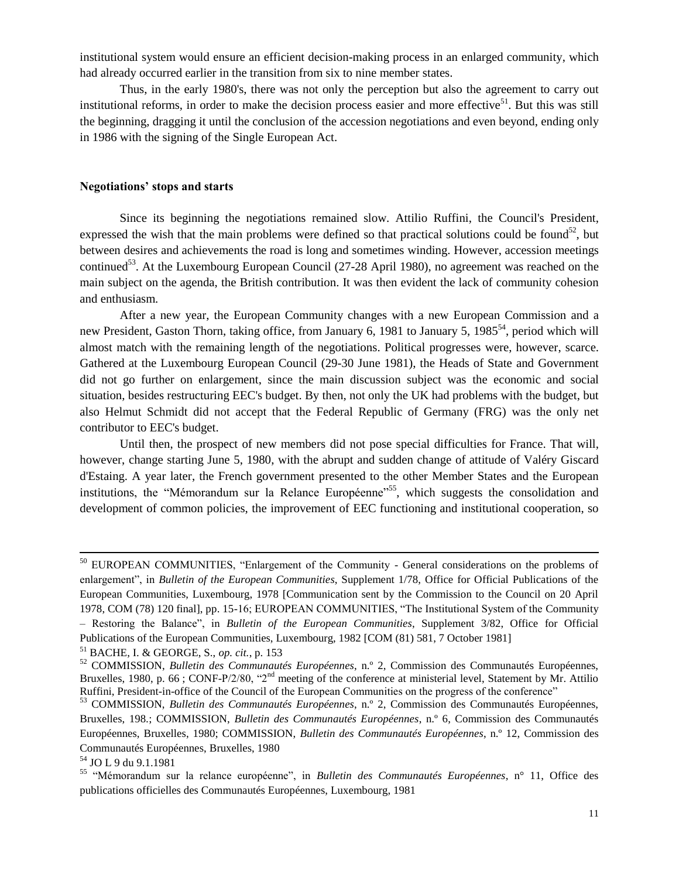institutional system would ensure an efficient decision-making process in an enlarged community, which had already occurred earlier in the transition from six to nine member states.

Thus, in the early 1980's, there was not only the perception but also the agreement to carry out institutional reforms, in order to make the decision process easier and more effective<sup>51</sup>. But this was still the beginning, dragging it until the conclusion of the accession negotiations and even beyond, ending only in 1986 with the signing of the Single European Act.

#### **Negotiations' stops and starts**

Since its beginning the negotiations remained slow. Attilio Ruffini, the Council's President, expressed the wish that the main problems were defined so that practical solutions could be found<sup>52</sup>, but between desires and achievements the road is long and sometimes winding. However, accession meetings continued<sup>53</sup>. At the Luxembourg European Council (27-28 April 1980), no agreement was reached on the main subject on the agenda, the British contribution. It was then evident the lack of community cohesion and enthusiasm.

After a new year, the European Community changes with a new European Commission and a new President, Gaston Thorn, taking office, from January 6, 1981 to January 5, 1985<sup>54</sup>, period which will almost match with the remaining length of the negotiations. Political progresses were, however, scarce. Gathered at the Luxembourg European Council (29-30 June 1981), the Heads of State and Government did not go further on enlargement, since the main discussion subject was the economic and social situation, besides restructuring EEC's budget. By then, not only the UK had problems with the budget, but also Helmut Schmidt did not accept that the Federal Republic of Germany (FRG) was the only net contributor to EEC's budget.

Until then, the prospect of new members did not pose special difficulties for France. That will, however, change starting June 5, 1980, with the abrupt and sudden change of attitude of Valéry Giscard d'Estaing. A year later, the French government presented to the other Member States and the European institutions, the "Mémorandum sur la Relance Européenne"<sup>55</sup>, which suggests the consolidation and development of common policies, the improvement of EEC functioning and institutional cooperation, so

<sup>&</sup>lt;sup>50</sup> EUROPEAN COMMUNITIES, "Enlargement of the Community - General considerations on the problems of enlargement", in *Bulletin of the European Communities*, Supplement 1/78, Office for Official Publications of the European Communities, Luxembourg, 1978 [Communication sent by the Commission to the Council on 20 April 1978, COM (78) 120 final], pp. 15-16; EUROPEAN COMMUNITIES, "The Institutional System of the Community – Restoring the Balance", in *Bulletin of the European Communities*, Supplement 3/82, Office for Official Publications of the European Communities, Luxembourg, 1982 [COM (81) 581, 7 October 1981]

<sup>51</sup> BACHE, I. & GEORGE, S., *op. cit.*, p. 153

<sup>52</sup> COMMISSION, *Bulletin des Communautés Européennes*, n.º 2, Commission des Communautés Européennes, Bruxelles, 1980, p. 66 ; CONF-P/2/80, "2<sup>nd</sup> meeting of the conference at ministerial level, Statement by Mr. Attilio Ruffini, President-in-office of the Council of the European Communities on the progress of the conference"

<sup>53</sup> COMMISSION, *Bulletin des Communautés Européennes*, n.º 2, Commission des Communautés Européennes, Bruxelles, 198*.*; COMMISSION, *Bulletin des Communautés Européennes*, n.º 6, Commission des Communautés Européennes, Bruxelles, 1980; COMMISSION, *Bulletin des Communautés Européennes*, n.º 12, Commission des Communautés Européennes, Bruxelles, 1980

<sup>54</sup> JO L 9 du 9.1.1981

<sup>&</sup>lt;sup>55</sup> "Mémorandum sur la relance européenne", in *Bulletin des Communautés Européennes*, n° 11, Office des publications officielles des Communautés Européennes, Luxembourg, 1981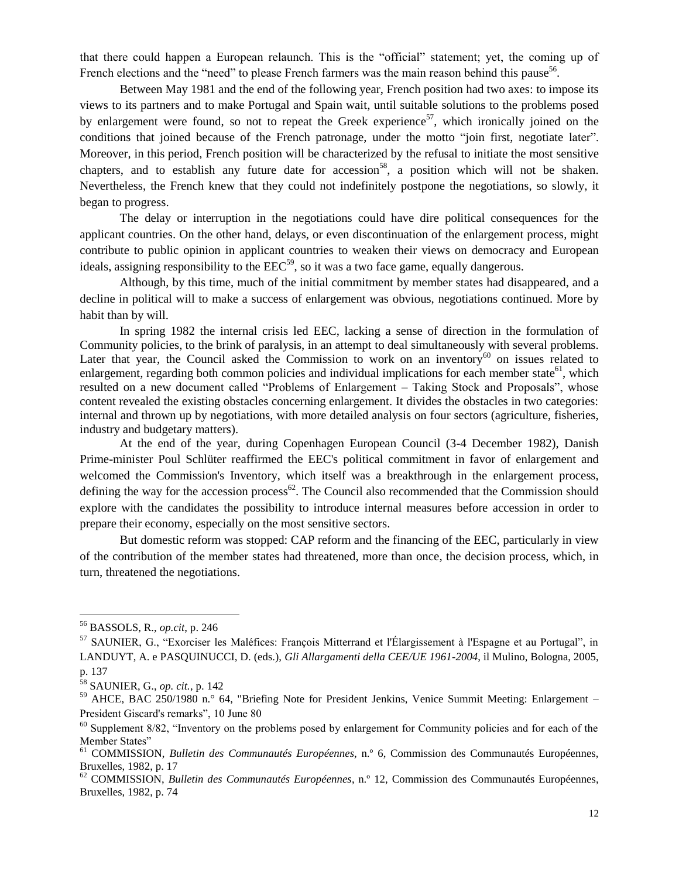that there could happen a European relaunch. This is the "official" statement; yet, the coming up of French elections and the "need" to please French farmers was the main reason behind this pause<sup>56</sup>.

Between May 1981 and the end of the following year, French position had two axes: to impose its views to its partners and to make Portugal and Spain wait, until suitable solutions to the problems posed by enlargement were found, so not to repeat the Greek experience<sup>57</sup>, which ironically joined on the conditions that joined because of the French patronage, under the motto "join first, negotiate later". Moreover, in this period, French position will be characterized by the refusal to initiate the most sensitive chapters, and to establish any future date for accession<sup>58</sup>, a position which will not be shaken. Nevertheless, the French knew that they could not indefinitely postpone the negotiations, so slowly, it began to progress.

The delay or interruption in the negotiations could have dire political consequences for the applicant countries. On the other hand, delays, or even discontinuation of the enlargement process, might contribute to public opinion in applicant countries to weaken their views on democracy and European ideals, assigning responsibility to the  $EEC<sup>59</sup>$ , so it was a two face game, equally dangerous.

Although, by this time, much of the initial commitment by member states had disappeared, and a decline in political will to make a success of enlargement was obvious, negotiations continued. More by habit than by will.

In spring 1982 the internal crisis led EEC, lacking a sense of direction in the formulation of Community policies, to the brink of paralysis, in an attempt to deal simultaneously with several problems. Later that year, the Council asked the Commission to work on an inventory<sup>60</sup> on issues related to enlargement, regarding both common policies and individual implications for each member state<sup>61</sup>, which resulted on a new document called "Problems of Enlargement – Taking Stock and Proposals", whose content revealed the existing obstacles concerning enlargement. It divides the obstacles in two categories: internal and thrown up by negotiations, with more detailed analysis on four sectors (agriculture, fisheries, industry and budgetary matters).

At the end of the year, during Copenhagen European Council (3-4 December 1982), Danish Prime-minister Poul Schlüter reaffirmed the EEC's political commitment in favor of enlargement and welcomed the Commission's Inventory, which itself was a breakthrough in the enlargement process, defining the way for the accession process<sup>62</sup>. The Council also recommended that the Commission should explore with the candidates the possibility to introduce internal measures before accession in order to prepare their economy, especially on the most sensitive sectors.

But domestic reform was stopped: CAP reform and the financing of the EEC, particularly in view of the contribution of the member states had threatened, more than once, the decision process, which, in turn, threatened the negotiations.

<sup>56</sup> BASSOLS, R., *op.cit*, p. 246

<sup>57</sup> SAUNIER, G., "Exorciser les Maléfices: François Mitterrand et l'Élargissement à l'Espagne et au Portugal", in LANDUYT, A. e PASQUINUCCI, D. (eds.), *Gli Allargamenti della CEE/UE 1961-2004*, il Mulino, Bologna, 2005,

p. 137

<sup>58</sup> SAUNIER, G., *op. cit.*, p. 142

<sup>&</sup>lt;sup>59</sup> AHCE, BAC 250/1980 n.º 64, "Briefing Note for President Jenkins, Venice Summit Meeting: Enlargement – President Giscard's remarks", 10 June 80

 $60$  Supplement 8/82, "Inventory on the problems posed by enlargement for Community policies and for each of the Member States"

<sup>61</sup> COMMISSION, *Bulletin des Communautés Européennes*, n.º 6, Commission des Communautés Européennes, Bruxelles, 1982, p. 17

<sup>62</sup> COMMISSION, *Bulletin des Communautés Européennes*, n.º 12, Commission des Communautés Européennes, Bruxelles, 1982, p. 74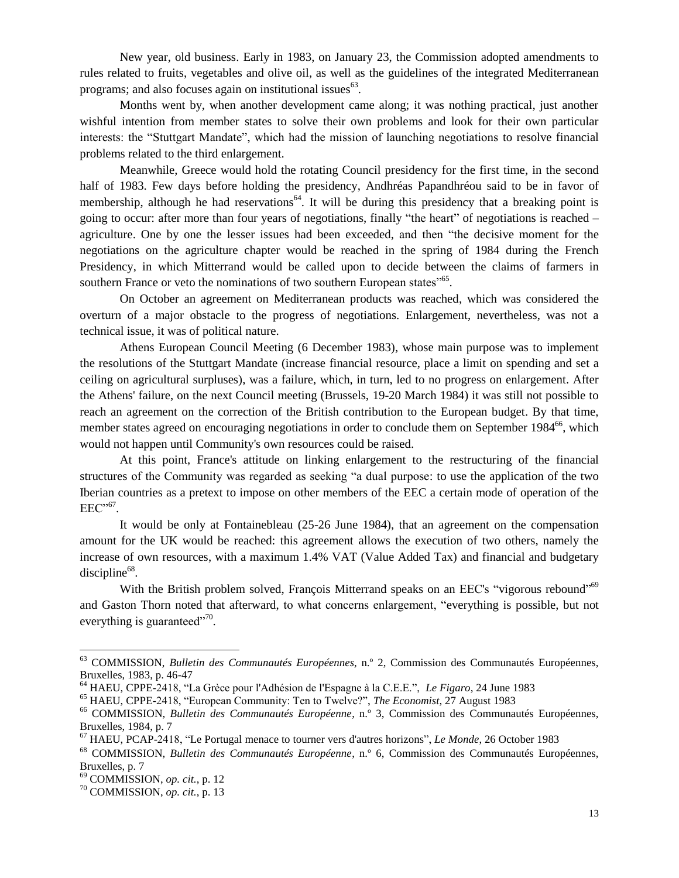New year, old business. Early in 1983, on January 23, the Commission adopted amendments to rules related to fruits, vegetables and olive oil, as well as the guidelines of the integrated Mediterranean programs; and also focuses again on institutional issues $^{63}$ .

Months went by, when another development came along; it was nothing practical, just another wishful intention from member states to solve their own problems and look for their own particular interests: the "Stuttgart Mandate", which had the mission of launching negotiations to resolve financial problems related to the third enlargement.

Meanwhile, Greece would hold the rotating Council presidency for the first time, in the second half of 1983. Few days before holding the presidency, Andhréas Papandhréou said to be in favor of membership, although he had reservations<sup>64</sup>. It will be during this presidency that a breaking point is going to occur: after more than four years of negotiations, finally "the heart" of negotiations is reached – agriculture. One by one the lesser issues had been exceeded, and then "the decisive moment for the negotiations on the agriculture chapter would be reached in the spring of 1984 during the French Presidency, in which Mitterrand would be called upon to decide between the claims of farmers in southern France or veto the nominations of two southern European states<sup>"65</sup>.

On October an agreement on Mediterranean products was reached, which was considered the overturn of a major obstacle to the progress of negotiations. Enlargement, nevertheless, was not a technical issue, it was of political nature.

Athens European Council Meeting (6 December 1983), whose main purpose was to implement the resolutions of the Stuttgart Mandate (increase financial resource, place a limit on spending and set a ceiling on agricultural surpluses), was a failure, which, in turn, led to no progress on enlargement. After the Athens' failure, on the next Council meeting (Brussels, 19-20 March 1984) it was still not possible to reach an agreement on the correction of the British contribution to the European budget. By that time, member states agreed on encouraging negotiations in order to conclude them on September 1984<sup>66</sup>, which would not happen until Community's own resources could be raised.

At this point, France's attitude on linking enlargement to the restructuring of the financial structures of the Community was regarded as seeking "a dual purpose: to use the application of the two Iberian countries as a pretext to impose on other members of the EEC a certain mode of operation of the  $EEC^{,67}$ .

It would be only at Fontainebleau (25-26 June 1984), that an agreement on the compensation amount for the UK would be reached: this agreement allows the execution of two others, namely the increase of own resources, with a maximum 1.4% VAT (Value Added Tax) and financial and budgetary  $discipher<sup>68</sup>$ .

With the British problem solved, François Mitterrand speaks on an EEC's "vigorous rebound"<sup>69</sup> and Gaston Thorn noted that afterward, to what concerns enlargement, "everything is possible, but not everything is guaranteed $170$ .

<sup>63</sup> COMMISSION, *Bulletin des Communautés Européennes*, n.º 2, Commission des Communautés Européennes, Bruxelles, 1983, p. 46-47

<sup>64</sup> HAEU, CPPE-2418, "La Grèce pour l'Adhésion de l'Espagne à la C.E.E.ˮ, *Le Figaro*, 24 June 1983

<sup>&</sup>lt;sup>65</sup> HAEU, CPPE-2418, "European Community: Ten to Twelve?", The Economist, 27 August 1983

<sup>66</sup> COMMISSION, *Bulletin des Communautés Européenne*, n.º 3, Commission des Communautés Européennes, Bruxelles, 1984, p. 7

<sup>67</sup> HAEU, PCAP-2418, "Le Portugal menace to tourner vers d'autres horizons", *Le Monde*, 26 October 1983

<sup>68</sup> COMMISSION, *Bulletin des Communautés Européenne*, n.º 6, Commission des Communautés Européennes, Bruxelles, p. 7

<sup>69</sup> COMMISSION, *op. cit.*, p. 12

<sup>70</sup> COMMISSION, *op. cit.*, p. 13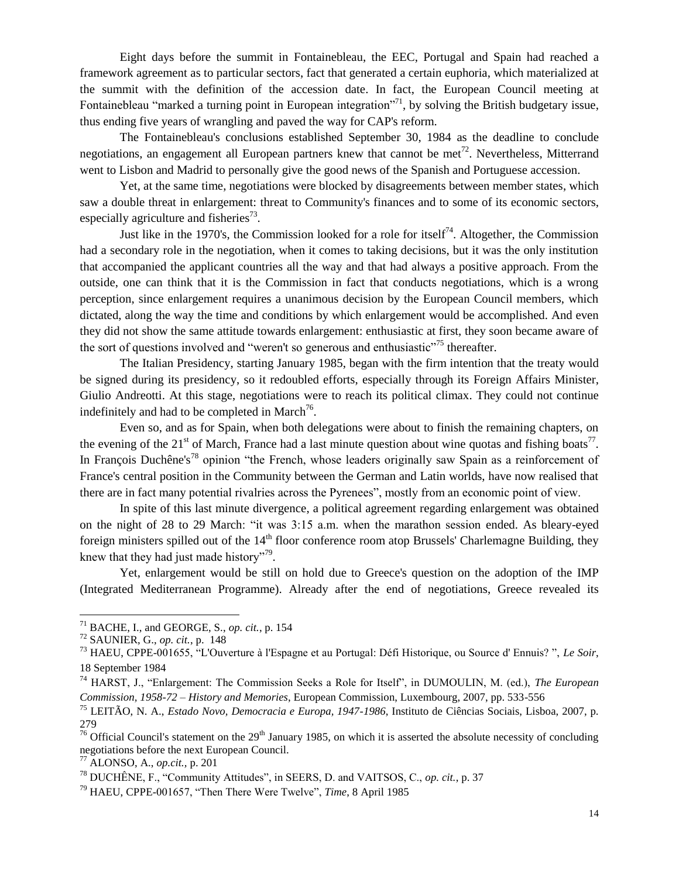Eight days before the summit in Fontainebleau, the EEC, Portugal and Spain had reached a framework agreement as to particular sectors, fact that generated a certain euphoria, which materialized at the summit with the definition of the accession date. In fact, the European Council meeting at Fontainebleau "marked a turning point in European integration"<sup>71</sup>, by solving the British budgetary issue, thus ending five years of wrangling and paved the way for CAP's reform.

The Fontainebleau's conclusions established September 30, 1984 as the deadline to conclude negotiations, an engagement all European partners knew that cannot be met<sup>72</sup>. Nevertheless, Mitterrand went to Lisbon and Madrid to personally give the good news of the Spanish and Portuguese accession.

Yet, at the same time, negotiations were blocked by disagreements between member states, which saw a double threat in enlargement: threat to Community's finances and to some of its economic sectors, especially agriculture and fisheries $^{73}$ .

Just like in the 1970's, the Commission looked for a role for itself<sup>74</sup>. Altogether, the Commission had a secondary role in the negotiation, when it comes to taking decisions, but it was the only institution that accompanied the applicant countries all the way and that had always a positive approach. From the outside, one can think that it is the Commission in fact that conducts negotiations, which is a wrong perception, since enlargement requires a unanimous decision by the European Council members, which dictated, along the way the time and conditions by which enlargement would be accomplished. And even they did not show the same attitude towards enlargement: enthusiastic at first, they soon became aware of the sort of questions involved and "weren't so generous and enthusiastic"<sup>75</sup> thereafter.

The Italian Presidency, starting January 1985, began with the firm intention that the treaty would be signed during its presidency, so it redoubled efforts, especially through its Foreign Affairs Minister, Giulio Andreotti. At this stage, negotiations were to reach its political climax. They could not continue indefinitely and had to be completed in March<sup>76</sup>.

Even so, and as for Spain, when both delegations were about to finish the remaining chapters, on the evening of the 21<sup>st</sup> of March, France had a last minute question about wine quotas and fishing boats<sup>77</sup>. In François Duchêne's<sup>78</sup> opinion "the French, whose leaders originally saw Spain as a reinforcement of France's central position in the Community between the German and Latin worlds, have now realised that there are in fact many potential rivalries across the Pyrenees", mostly from an economic point of view.

In spite of this last minute divergence, a political agreement regarding enlargement was obtained on the night of 28 to 29 March: "it was 3:15 a.m. when the marathon session ended. As bleary-eyed foreign ministers spilled out of the  $14<sup>th</sup>$  floor conference room atop Brussels' Charlemagne Building, they knew that they had just made history"<sup>79</sup>.

Yet, enlargement would be still on hold due to Greece's question on the adoption of the IMP (Integrated Mediterranean Programme). Already after the end of negotiations, Greece revealed its

<sup>71</sup> BACHE, I., and GEORGE, S., *op. cit.*, p. 154

<sup>72</sup> SAUNIER, G., *op. cit.*, p. 148

<sup>73</sup> HAEU, CPPE-001655, "L'Ouverture à l'Espagne et au Portugal: Défi Historique, ou Source d' Ennuis? ", *Le Soir*, 18 September 1984

<sup>74</sup> HARST, J., "Enlargement: The Commission Seeks a Role for Itself", in DUMOULIN, M. (ed.), *The European Commission, 1958-72 – History and Memories*, European Commission, Luxembourg, 2007, pp. 533-556

<sup>75</sup> LEITÃO, N. A., *Estado Novo, Democracia e Europa, 1947-1986*, Instituto de Ciências Sociais, Lisboa, 2007, p. 279

<sup>&</sup>lt;sup>76</sup> Official Council's statement on the  $29<sup>th</sup>$  January 1985, on which it is asserted the absolute necessity of concluding negotiations before the next European Council.

<sup>77</sup> ALONSO, A., *op.cit.,* p. 201

<sup>78</sup> DUCHÊNE, F., "Community Attitudes", in SEERS, D. and VAITSOS, C., *op. cit.*, p. 37

<sup>79</sup> HAEU, CPPE-001657, "Then There Were Twelve", *Time*, 8 April 1985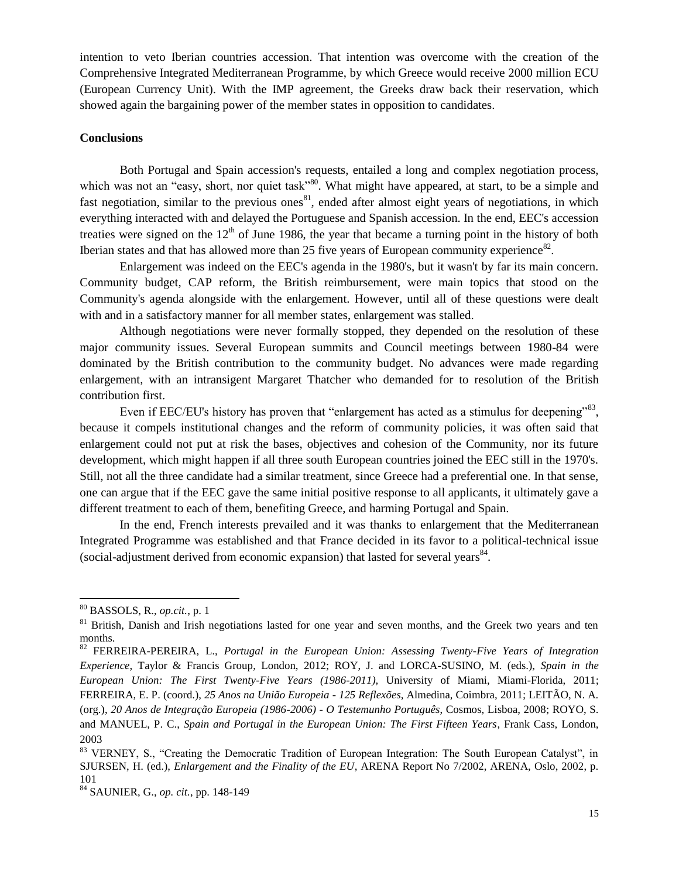intention to veto Iberian countries accession. That intention was overcome with the creation of the Comprehensive Integrated Mediterranean Programme, by which Greece would receive 2000 million ECU (European Currency Unit). With the IMP agreement, the Greeks draw back their reservation, which showed again the bargaining power of the member states in opposition to candidates.

### **Conclusions**

Both Portugal and Spain accession's requests, entailed a long and complex negotiation process, which was not an "easy, short, nor quiet task"<sup>80</sup>. What might have appeared, at start, to be a simple and fast negotiation, similar to the previous ones<sup>81</sup>, ended after almost eight years of negotiations, in which everything interacted with and delayed the Portuguese and Spanish accession. In the end, EEC's accession treaties were signed on the  $12<sup>th</sup>$  of June 1986, the year that became a turning point in the history of both Iberian states and that has allowed more than 25 five years of European community experience $82$ .

Enlargement was indeed on the EEC's agenda in the 1980's, but it wasn't by far its main concern. Community budget, CAP reform, the British reimbursement, were main topics that stood on the Community's agenda alongside with the enlargement. However, until all of these questions were dealt with and in a satisfactory manner for all member states, enlargement was stalled.

Although negotiations were never formally stopped, they depended on the resolution of these major community issues. Several European summits and Council meetings between 1980-84 were dominated by the British contribution to the community budget. No advances were made regarding enlargement, with an intransigent Margaret Thatcher who demanded for to resolution of the British contribution first.

Even if EEC/EU's history has proven that "enlargement has acted as a stimulus for deepening"<sup>83</sup>, because it compels institutional changes and the reform of community policies, it was often said that enlargement could not put at risk the bases, objectives and cohesion of the Community, nor its future development, which might happen if all three south European countries joined the EEC still in the 1970's. Still, not all the three candidate had a similar treatment, since Greece had a preferential one. In that sense, one can argue that if the EEC gave the same initial positive response to all applicants, it ultimately gave a different treatment to each of them, benefiting Greece, and harming Portugal and Spain.

In the end, French interests prevailed and it was thanks to enlargement that the Mediterranean Integrated Programme was established and that France decided in its favor to a political-technical issue (social-adjustment derived from economic expansion) that lasted for several years $^{84}$ .

l

<sup>80</sup> BASSOLS, R., *op.cit.*, p. 1

<sup>&</sup>lt;sup>81</sup> British, Danish and Irish negotiations lasted for one year and seven months, and the Greek two years and ten months.

<sup>82</sup> FERREIRA-PEREIRA, L., *Portugal in the European Union: Assessing Twenty-Five Years of Integration Experience*, Taylor & Francis Group, London, 2012; ROY, J. and LORCA-SUSINO, M. (eds.), *Spain in the European Union: The First Twenty-Five Years (1986-2011),* University of Miami, Miami-Florida, 2011; FERREIRA, E. P. (coord.), *[25 Anos na União Europeia -](http://www.almedina.net/livro.php?isbn=9789724047188) 125 Reflexões*, Almedina, Coimbra, 2011; LEITÃO, N. A. (org.), *20 Anos de Integração Europeia (1986-2006) - O Testemunho Português*, Cosmos, Lisboa, 2008; ROYO, S. and MANUEL, P. C., *Spain and Portugal in the European Union: The First Fifteen Years*, Frank Cass, London, 2003

<sup>&</sup>lt;sup>83</sup> VERNEY, S., "Creating the Democratic Tradition of European Integration: The South European Catalyst", in SJURSEN, H. (ed.), *Enlargement and the Finality of the EU*, ARENA Report No 7/2002, ARENA, Oslo, 2002, p. 101

<sup>84</sup> SAUNIER, G., *op. cit.*, pp. 148-149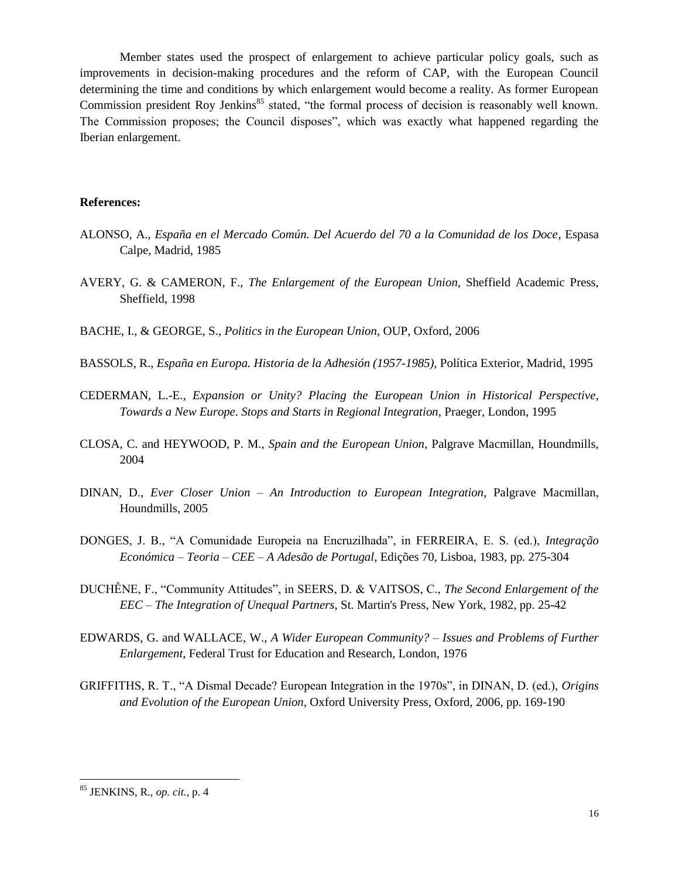Member states used the prospect of enlargement to achieve particular policy goals, such as improvements in decision-making procedures and the reform of CAP, with the European Council determining the time and conditions by which enlargement would become a reality. As former European Commission president Roy Jenkins<sup>85</sup> stated, "the formal process of decision is reasonably well known. The Commission proposes; the Council disposes", which was exactly what happened regarding the Iberian enlargement.

## **References:**

- ALONSO, A., *España en el Mercado Común. Del Acuerdo del 70 a la Comunidad de los Doce*, Espasa Calpe, Madrid, 1985
- AVERY, G. & CAMERON, F., *The Enlargement of the European Union,* Sheffield Academic Press, Sheffield, 1998
- BACHE, I., & GEORGE, S., *Politics in the European Union*, OUP, Oxford, 2006
- BASSOLS, R., *España en Europa. Historia de la Adhesión (1957-1985)*, Política Exterior, Madrid, 1995
- CEDERMAN, L.-E., *Expansion or Unity? Placing the European Union in Historical Perspective*, *Towards a New Europe. Stops and Starts in Regional Integration*, Praeger, London, 1995
- CLOSA, C. and HEYWOOD, P. M., *Spain and the European Union*, Palgrave Macmillan, Houndmills, 2004
- DINAN, D., *Ever Closer Union – An Introduction to European Integration*, Palgrave Macmillan, Houndmills, 2005
- DONGES, J. B., "A Comunidade Europeia na Encruzilhada", in FERREIRA, E. S. (ed.), *Integração Económica – Teoria – CEE – A Adesão de Portugal*, Edições 70, Lisboa, 1983, pp. 275-304
- DUCHÊNE, F., "Community Attitudes", in SEERS, D. & VAITSOS, C., *The Second Enlargement of the EEC – The Integration of Unequal Partners*, St. Martin's Press, New York, 1982, pp. 25-42
- EDWARDS, G. and WALLACE, W., *A Wider European Community? – Issues and Problems of Further Enlargement*, Federal Trust for Education and Research, London, 1976
- GRIFFITHS, R. T., "A Dismal Decade? European Integration in the 1970s", in DINAN, D. (ed.), *Origins and Evolution of the European Union*, Oxford University Press, Oxford, 2006, pp. 169-190

<sup>85</sup> JENKINS, R., *op. cit.*, p. 4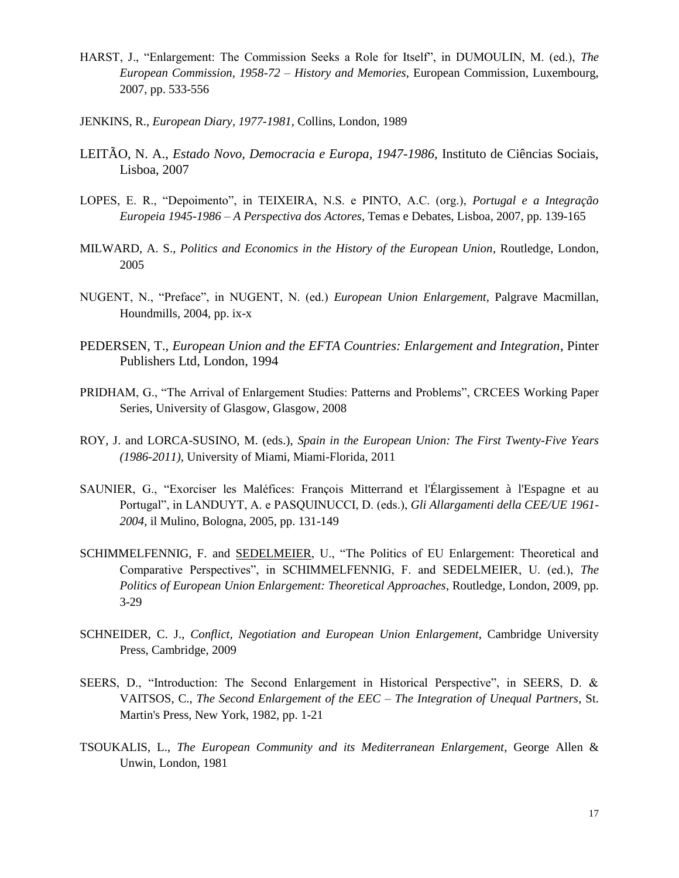- HARST, J., "Enlargement: The Commission Seeks a Role for Itself", in DUMOULIN, M. (ed.), *The European Commission, 1958-72 – History and Memories*, European Commission, Luxembourg, 2007, pp. 533-556
- JENKINS, R., *European Diary, 1977-1981*, Collins, London, 1989
- LEITÃO, N. A., *Estado Novo, Democracia e Europa, 1947-1986*, Instituto de Ciências Sociais, Lisboa, 2007
- LOPES, E. R., "Depoimento", in TEIXEIRA, N.S. e PINTO, A.C. (org.), *Portugal e a Integração Europeia 1945-1986 – A Perspectiva dos Actores*, Temas e Debates, Lisboa, 2007, pp. 139-165
- MILWARD, A. S., *Politics and Economics in the History of the European Union*, Routledge, London, 2005
- NUGENT, N., "Preface", in NUGENT, N. (ed.) *European Union Enlargement*, Palgrave Macmillan, Houndmills, 2004, pp. ix-x
- PEDERSEN, T., *European Union and the EFTA Countries: Enlargement and Integration*, Pinter Publishers Ltd, London, 1994
- PRIDHAM, G., "The Arrival of Enlargement Studies: Patterns and Problems", CRCEES Working Paper Series, University of Glasgow, Glasgow, 2008
- ROY, J. and LORCA-SUSINO, M. (eds.), *Spain in the European Union: The First Twenty-Five Years (1986-2011),* University of Miami, Miami-Florida, 2011
- SAUNIER, G., "Exorciser les Maléfices: François Mitterrand et l'Élargissement à l'Espagne et au Portugal", in LANDUYT, A. e PASQUINUCCI, D. (eds.), *Gli Allargamenti della CEE/UE 1961- 2004*, il Mulino, Bologna, 2005, pp. 131-149
- SCHIMMELFENNIG, F. and [SEDELMEIER,](http://www.allbookstores.com/Ulrich-Sedelmeier/author) U., "The Politics of EU Enlargement: Theoretical and Comparative Perspectives", in SCHIMMELFENNIG, F. and SEDELMEIER, U. (ed.), *[The](http://www.allbookstores.com/The-Politics-European-Union-Enlargement/0415498945)  [Politics of European Union Enlargement: Theoretical Approaches](http://www.allbookstores.com/The-Politics-European-Union-Enlargement/0415498945)*, Routledge, London, 2009, pp. 3-29
- SCHNEIDER, C. J., *[Conflict, Negotiation and European Union Enlargement](http://www.allbookstores.com/Conflict-Negotiation-European-Union-Enlargement/9780521514811)*, Cambridge University Press, Cambridge, 2009
- SEERS, D., "Introduction: The Second Enlargement in Historical Perspective", in SEERS, D. & VAITSOS, C., *The Second Enlargement of the EEC – The Integration of Unequal Partners*, St. Martin's Press, New York, 1982, pp. 1-21
- TSOUKALIS, L., *The European Community and its Mediterranean Enlargement*, George Allen & Unwin, London, 1981